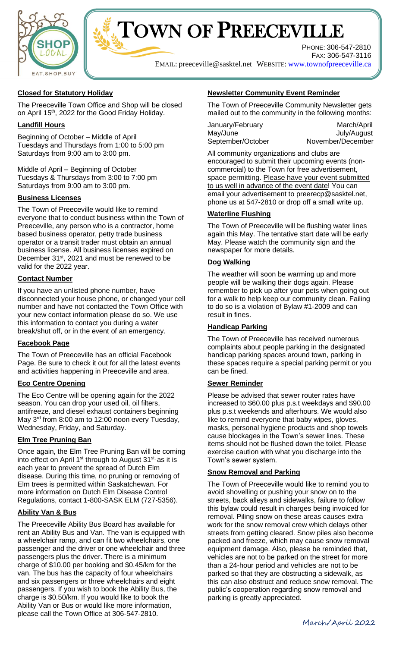



## **Closed for Statutory Holiday**

The Preeceville Town Office and Shop will be closed on April 15<sup>th</sup>, 2022 for the Good Friday Holiday.

## **Landfill Hours**

Beginning of October – Middle of April Tuesdays and Thursdays from 1:00 to 5:00 pm Saturdays from 9:00 am to 3:00 pm.

Middle of April – Beginning of October Tuesdays & Thursdays from 3:00 to 7:00 pm Saturdays from 9:00 am to 3:00 pm.

## **Business Licenses**

The Town of Preeceville would like to remind everyone that to conduct business within the Town of Preeceville, any person who is a contractor, home based business operator, petty trade business operator or a transit trader must obtain an annual business license. All business licenses expired on December 31<sup>st</sup>, 2021 and must be renewed to be valid for the 2022 year.

## **Contact Number**

If you have an unlisted phone number, have disconnected your house phone, or changed your cell number and have not contacted the Town Office with your new contact information please do so. We use this information to contact you during a water break/shut off, or in the event of an emergency.

#### **Facebook Page**

The Town of Preeceville has an official Facebook Page. Be sure to check it out for all the latest events and activities happening in Preeceville and area.

## **Eco Centre Opening**

The Eco Centre will be opening again for the 2022 season. You can drop your used oil, oil filters, antifreeze, and diesel exhaust containers beginning May 3<sup>rd</sup> from 8:00 am to 12:00 noon every Tuesday, Wednesday, Friday, and Saturday.

#### **Elm Tree Pruning Ban**

Once again, the Elm Tree Pruning Ban will be coming into effect on April 1<sup>st</sup> through to August 31<sup>st,</sup> as it is each year to prevent the spread of Dutch Elm disease. During this time, no pruning or removing of Elm trees is permitted within Saskatchewan. For more information on Dutch Elm Disease Control Regulations, contact 1-800-SASK ELM (727-5356).

## **Ability Van & Bus**

The Preeceville Ability Bus Board has available for rent an Ability Bus and Van. The van is equipped with a wheelchair ramp, and can fit two wheelchairs, one passenger and the driver or one wheelchair and three passengers plus the driver. There is a minimum charge of \$10.00 per booking and \$0.45/km for the van. The bus has the capacity of four wheelchairs and six passengers or three wheelchairs and eight passengers. If you wish to book the Ability Bus, the charge is \$0.50/km. If you would like to book the Ability Van or Bus or would like more information, please call the Town Office at 306-547-2810.

## **Newsletter Community Event Reminder**

The Town of Preeceville Community Newsletter gets mailed out to the community in the following months:

| January/February  | March/April       |
|-------------------|-------------------|
| May/June          | July/August       |
| September/October | November/December |

All community organizations and clubs are encouraged to submit their upcoming events (noncommercial) to the Town for free advertisement, space permitting. Please have your event submitted to us well in advance of the event date! You can email your advertisement to preerecp@sasktel.net, phone us at 547-2810 or drop off a small write up.

## **Waterline Flushing**

The Town of Preeceville will be flushing water lines again this May. The tentative start date will be early May. Please watch the community sign and the newspaper for more details.

## **Dog Walking**

The weather will soon be warming up and more people will be walking their dogs again. Please remember to pick up after your pets when going out for a walk to help keep our community clean. Failing to do so is a violation of Bylaw #1-2009 and can result in fines.

#### **Handicap Parking**

The Town of Preeceville has received numerous complaints about people parking in the designated handicap parking spaces around town, parking in these spaces require a special parking permit or you can be fined.

#### **Sewer Reminder**

Please be advised that sewer router rates have increased to \$60.00 plus p.s.t weekdays and \$90.00 plus p.s.t weekends and afterhours. We would also like to remind everyone that baby wipes, gloves, masks, personal hygiene products and shop towels cause blockages in the Town's sewer lines. These items should not be flushed down the toilet. Please exercise caution with what you discharge into the Town's sewer system.

#### **Snow Removal and Parking**

The Town of Preeceville would like to remind you to avoid shovelling or pushing your snow on to the streets, back alleys and sidewalks, failure to follow this bylaw could result in charges being invoiced for removal. Piling snow on these areas causes extra work for the snow removal crew which delays other streets from getting cleared. Snow piles also become packed and freeze, which may cause snow removal equipment damage. Also, please be reminded that, vehicles are not to be parked on the street for more than a 24-hour period and vehicles are not to be parked so that they are obstructing a sidewalk, as this can also obstruct and reduce snow removal. The public's cooperation regarding snow removal and parking is greatly appreciated.